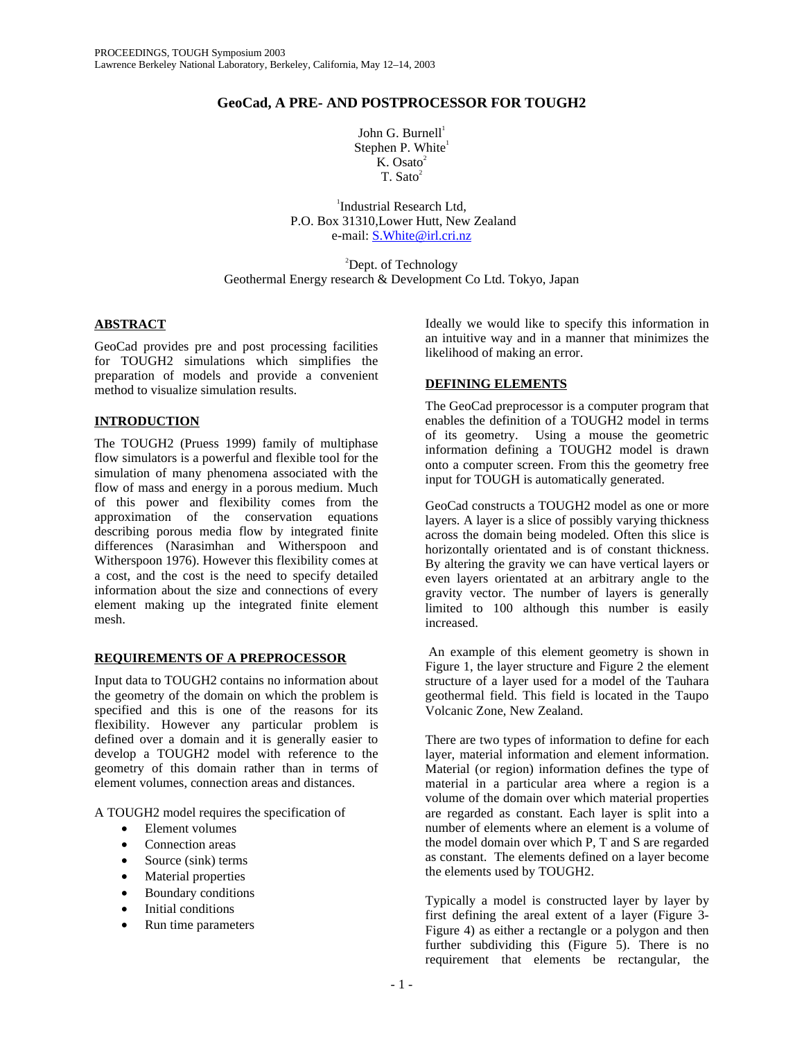# **GeoCad, A PRE- AND POSTPROCESSOR FOR TOUGH2**

John G. Burnell $^1$ Stephen P. White<sup>1</sup>  $K.$  Osato $^2$  $T$ . Sato<sup>2</sup>

1 Industrial Research Ltd, P.O. Box 31310,Lower Hutt, New Zealand e-mail: S.White@irl.cri.nz

<sup>2</sup>Dept. of Technology Geothermal Energy research & Development Co Ltd. Tokyo, Japan

# **ABSTRACT**

GeoCad provides pre and post processing facilities for TOUGH2 simulations which simplifies the preparation of models and provide a convenient method to visualize simulation results.

# **INTRODUCTION**

The TOUGH2 (Pruess 1999) family of multiphase flow simulators is a powerful and flexible tool for the simulation of many phenomena associated with the flow of mass and energy in a porous medium. Much of this power and flexibility comes from the approximation of the conservation equations describing porous media flow by integrated finite differences (Narasimhan and Witherspoon and Witherspoon 1976). However this flexibility comes at a cost, and the cost is the need to specify detailed information about the size and connections of every element making up the integrated finite element mesh.

# **REQUIREMENTS OF A PREPROCESSOR**

Input data to TOUGH2 contains no information about the geometry of the domain on which the problem is specified and this is one of the reasons for its flexibility. However any particular problem is defined over a domain and it is generally easier to develop a TOUGH2 model with reference to the geometry of this domain rather than in terms of element volumes, connection areas and distances.

A TOUGH2 model requires the specification of

- Element volumes
- Connection areas
- Source (sink) terms
- Material properties
- Boundary conditions
- Initial conditions
- Run time parameters

Ideally we would like to specify this information in an intuitive way and in a manner that minimizes the likelihood of making an error.

### **DEFINING ELEMENTS**

The GeoCad preprocessor is a computer program that enables the definition of a TOUGH2 model in terms of its geometry. Using a mouse the geometric information defining a TOUGH2 model is drawn onto a computer screen. From this the geometry free input for TOUGH is automatically generated.

GeoCad constructs a TOUGH2 model as one or more layers. A layer is a slice of possibly varying thickness across the domain being modeled. Often this slice is horizontally orientated and is of constant thickness. By altering the gravity we can have vertical layers or even layers orientated at an arbitrary angle to the gravity vector. The number of layers is generally limited to 100 although this number is easily increased.

 An example of this element geometry is shown in Figure 1, the layer structure and Figure 2 the element structure of a layer used for a model of the Tauhara geothermal field. This field is located in the Taupo Volcanic Zone, New Zealand.

There are two types of information to define for each layer, material information and element information. Material (or region) information defines the type of material in a particular area where a region is a volume of the domain over which material properties are regarded as constant. Each layer is split into a number of elements where an element is a volume of the model domain over which P, T and S are regarded as constant. The elements defined on a layer become the elements used by TOUGH2.

Typically a model is constructed layer by layer by first defining the areal extent of a layer (Figure 3- Figure 4) as either a rectangle or a polygon and then further subdividing this (Figure 5). There is no requirement that elements be rectangular, the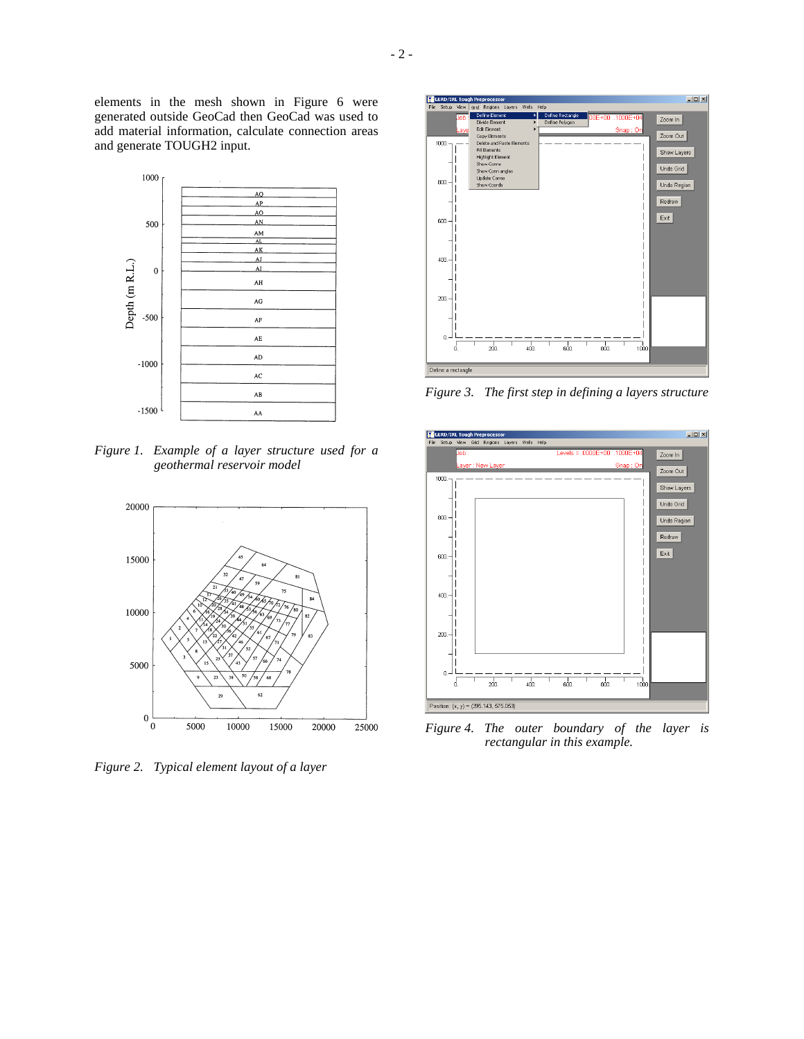elements in the mesh shown in Figure 6 were generated outside GeoCad then GeoCad was used to add material information, calculate connection areas and generate TOUGH2 input.



*Figure 1. Example of a layer structure used for a geothermal reservoir model* 



*Figure 2. Typical element layout of a layer* 



*Figure 3. The first step in defining a layers structure* 



*Figure 4. The outer boundary of the layer is rectangular in this example.*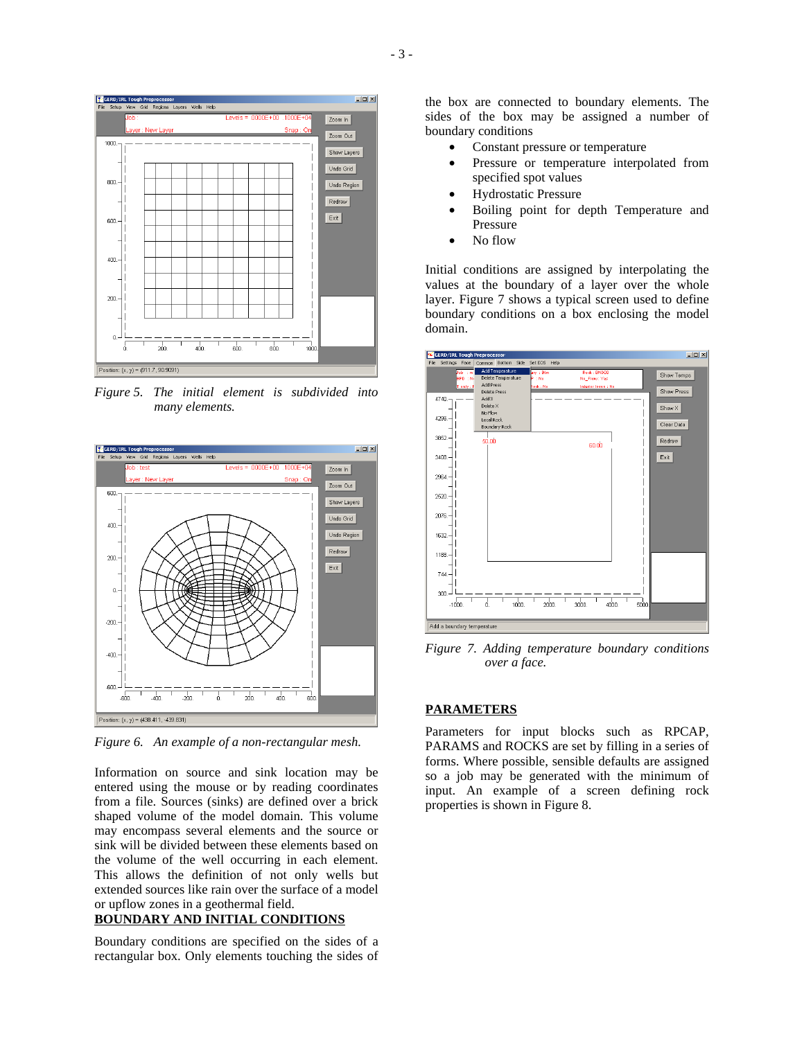

*Figure 5. The initial element is subdivided into many elements.* 



*Figure 6. An example of a non-rectangular mesh.* 

Information on source and sink location may be entered using the mouse or by reading coordinates from a file. Sources (sinks) are defined over a brick shaped volume of the model domain. This volume may encompass several elements and the source or sink will be divided between these elements based on the volume of the well occurring in each element. This allows the definition of not only wells but extended sources like rain over the surface of a model or upflow zones in a geothermal field.

# **BOUNDARY AND INITIAL CONDITIONS**

Boundary conditions are specified on the sides of a rectangular box. Only elements touching the sides of

the box are connected to boundary elements. The sides of the box may be assigned a number of boundary conditions

- Constant pressure or temperature
- Pressure or temperature interpolated from specified spot values
- Hydrostatic Pressure
- Boiling point for depth Temperature and Pressure
- No flow

Initial conditions are assigned by interpolating the values at the boundary of a layer over the whole layer. Figure 7 shows a typical screen used to define boundary conditions on a box enclosing the model domain.



*Figure 7. Adding temperature boundary conditions over a face.* 

### **PARAMETERS**

Parameters for input blocks such as RPCAP, PARAMS and ROCKS are set by filling in a series of forms. Where possible, sensible defaults are assigned so a job may be generated with the minimum of input. An example of a screen defining rock properties is shown in Figure 8.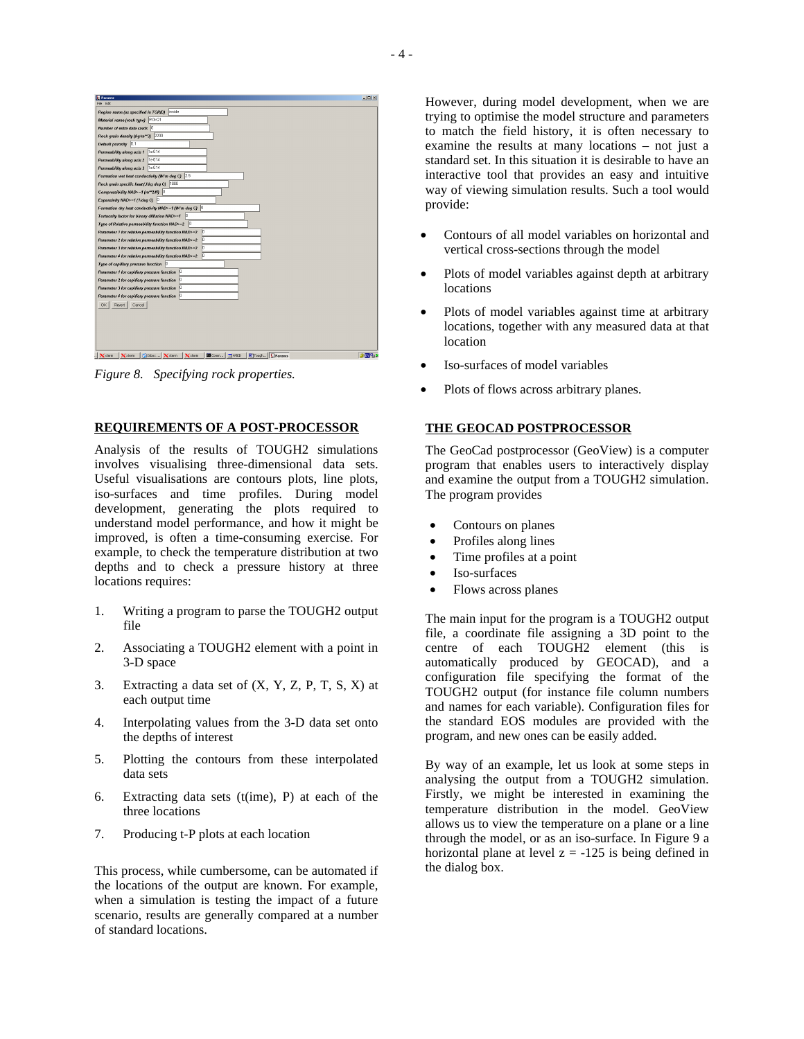| <b>El Params</b>                                           | $L = 1$ |
|------------------------------------------------------------|---------|
| File Edit                                                  |         |
| linside<br>Region name (as specified in TGRID)             |         |
| ROK21<br>Material name (rock type)                         |         |
| 0<br>Number of extra data cards                            |         |
| 2200<br>Rock grain density (kg/m^^3)                       |         |
| Default porosity 0.1                                       |         |
| 1e-014<br>Permeability along axis 1                        |         |
| 1e-014<br>Permeability along axis 2                        |         |
| 1e-014<br>Permeability along axis 3                        |         |
| 2.5<br>Formation wet heat conductivity (W/m deg C)         |         |
| 1000<br>Rock grain specific heat (J/kg deg C)              |         |
| Compressibility NAD>=1 (m^^2/10)                           |         |
| Expansivity NAD>=1 (1/deg C)<br>ю                          |         |
| Formation dry heat conductivity NAD>-1 (W/m deg C) 0       |         |
| ю<br>Tortuosity factor for binary diffusion NAD>-1         |         |
| lh<br>Type of Relative permeability function NAD>=2        |         |
| Parameter 1 for relative permeability function HAD>=2<br>ю |         |
| Parameter 2 for relative permeability function HAD>-2      |         |
| Parameter 3 for relative permeability function NAD>-2      |         |
| Parameter 4 for relative permeability function NAD>=2      |         |
| Type of capillary pressure function<br> 0                  |         |
| Parameter 1 for capillary pressure function                |         |
| Parameter 2 for capillary pressure function                |         |
| Parameter 3 for capillary pressure function                |         |
| Parameter 4 for capillary pressure function                |         |
| OK<br>Revert<br>Cancel                                     |         |
|                                                            |         |
|                                                            |         |
|                                                            |         |
|                                                            |         |
|                                                            |         |
| Tough Tearams<br>Cirbox Xxterm<br><b>M</b> Comm   WXD      | 参照物図    |
| Xxterm<br>$\times$ xterm<br>$X$ xterm                      |         |

*Figure 8. Specifying rock properties.* 

### **REQUIREMENTS OF A POST-PROCESSOR**

Analysis of the results of TOUGH2 simulations involves visualising three-dimensional data sets. Useful visualisations are contours plots, line plots, iso-surfaces and time profiles. During model development, generating the plots required to understand model performance, and how it might be improved, is often a time-consuming exercise. For example, to check the temperature distribution at two depths and to check a pressure history at three locations requires:

- 1. Writing a program to parse the TOUGH2 output file
- 2. Associating a TOUGH2 element with a point in 3-D space
- 3. Extracting a data set of (X, Y, Z, P, T, S, X) at each output time
- 4. Interpolating values from the 3-D data set onto the depths of interest
- 5. Plotting the contours from these interpolated data sets
- 6. Extracting data sets (t(ime), P) at each of the three locations
- 7. Producing t-P plots at each location

This process, while cumbersome, can be automated if the locations of the output are known. For example, when a simulation is testing the impact of a future scenario, results are generally compared at a number of standard locations.

However, during model development, when we are trying to optimise the model structure and parameters to match the field history, it is often necessary to examine the results at many locations – not just a standard set. In this situation it is desirable to have an interactive tool that provides an easy and intuitive way of viewing simulation results. Such a tool would provide:

- Contours of all model variables on horizontal and vertical cross-sections through the model
- Plots of model variables against depth at arbitrary locations
- Plots of model variables against time at arbitrary locations, together with any measured data at that location
- Iso-surfaces of model variables
- Plots of flows across arbitrary planes.

### **THE GEOCAD POSTPROCESSOR**

The GeoCad postprocessor (GeoView) is a computer program that enables users to interactively display and examine the output from a TOUGH2 simulation. The program provides

- Contours on planes
- Profiles along lines
- Time profiles at a point
- Iso-surfaces
- Flows across planes

The main input for the program is a TOUGH2 output file, a coordinate file assigning a 3D point to the centre of each TOUGH2 element (this is automatically produced by GEOCAD), and a configuration file specifying the format of the TOUGH2 output (for instance file column numbers and names for each variable). Configuration files for the standard EOS modules are provided with the program, and new ones can be easily added.

By way of an example, let us look at some steps in analysing the output from a TOUGH2 simulation. Firstly, we might be interested in examining the temperature distribution in the model. GeoView allows us to view the temperature on a plane or a line through the model, or as an iso-surface. In Figure 9 a horizontal plane at level  $z = -125$  is being defined in the dialog box.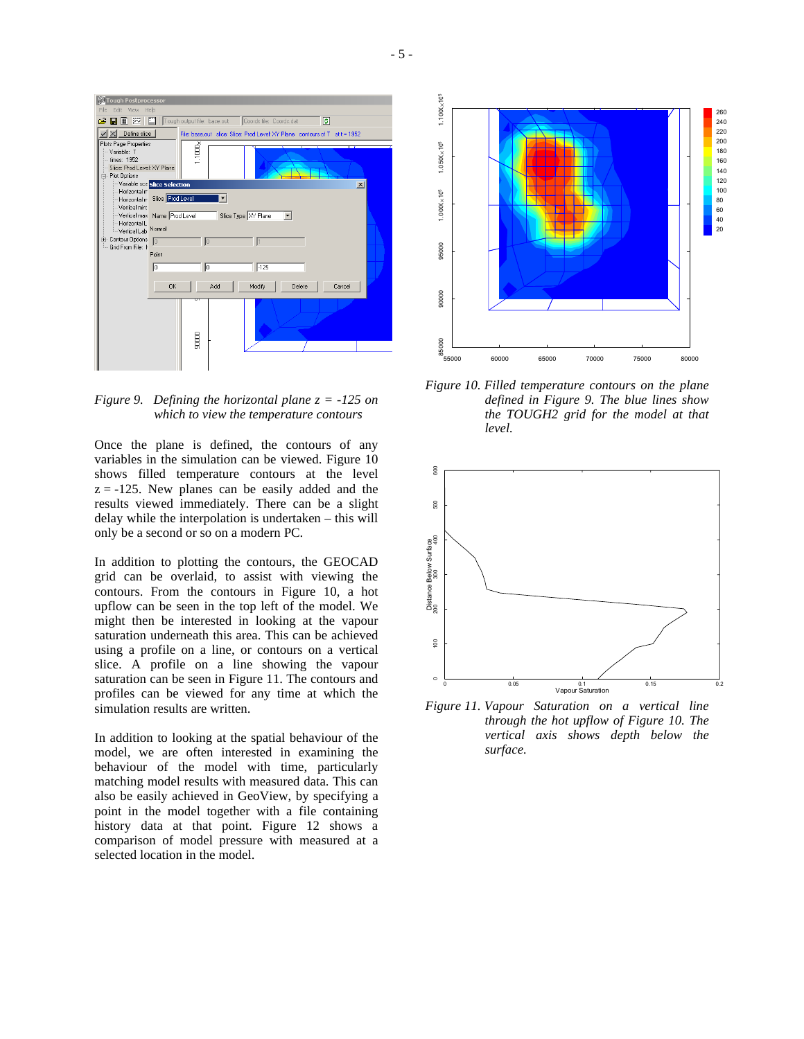

*Figure 9. Defining the horizontal plane z = -125 on which to view the temperature contours* 

Once the plane is defined, the contours of any variables in the simulation can be viewed. Figure 10 shows filled temperature contours at the level  $z = -125$ . New planes can be easily added and the results viewed immediately. There can be a slight delay while the interpolation is undertaken – this will only be a second or so on a modern PC.

In addition to plotting the contours, the GEOCAD grid can be overlaid, to assist with viewing the contours. From the contours in Figure 10, a hot upflow can be seen in the top left of the model. We might then be interested in looking at the vapour saturation underneath this area. This can be achieved using a profile on a line, or contours on a vertical slice. A profile on a line showing the vapour saturation can be seen in Figure 11. The contours and profiles can be viewed for any time at which the simulation results are written.

In addition to looking at the spatial behaviour of the model, we are often interested in examining the behaviour of the model with time, particularly matching model results with measured data. This can also be easily achieved in GeoView, by specifying a point in the model together with a file containing history data at that point. Figure 12 shows a comparison of model pressure with measured at a selected location in the model.



*Figure 10. Filled temperature contours on the plane defined in Figure 9. The blue lines show the TOUGH2 grid for the model at that level.* 



*Figure 11. Vapour Saturation on a vertical line through the hot upflow of Figure 10. The vertical axis shows depth below the surface.*